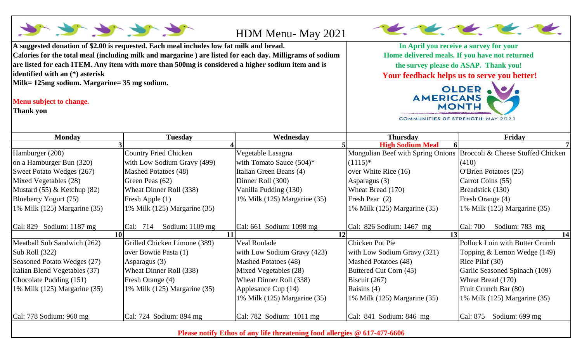

**Please notify Ethos of any life threatening food allergies @ 617-477-6606**